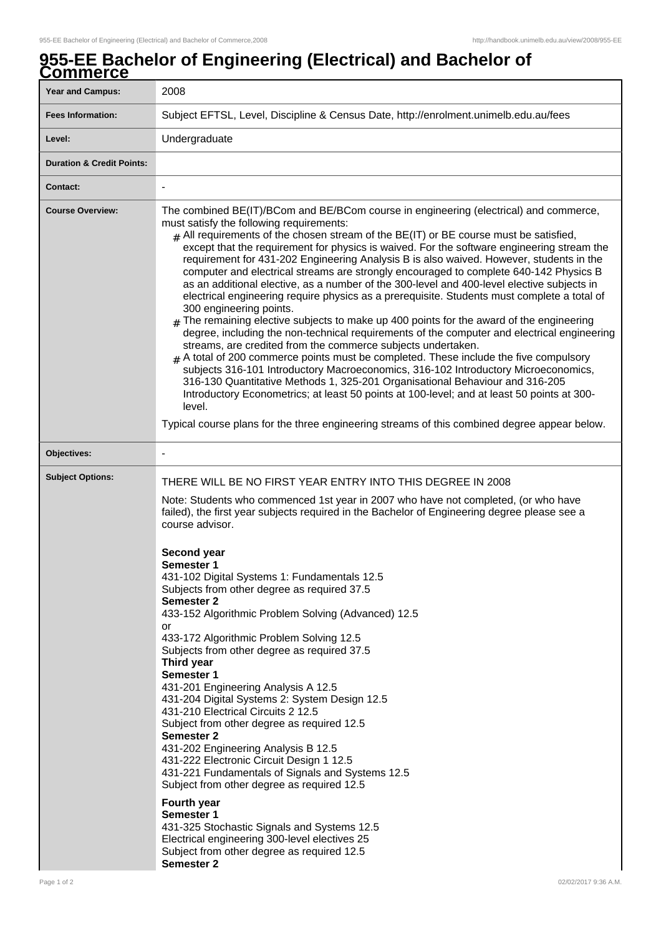## **955-EE Bachelor of Engineering (Electrical) and Bachelor of Commerce**

| <u>JUIIIIIUI UU</u><br><b>Year and Campus:</b> | 2008                                                                                                                                                                                                                                                                                                                                                                                                                                                                                                                                                                                                                                                                                                                                                                                                                                                                                                                                                                                                                                                                                                                                                                                                                                                                                                                                                                                                                                                                                    |
|------------------------------------------------|-----------------------------------------------------------------------------------------------------------------------------------------------------------------------------------------------------------------------------------------------------------------------------------------------------------------------------------------------------------------------------------------------------------------------------------------------------------------------------------------------------------------------------------------------------------------------------------------------------------------------------------------------------------------------------------------------------------------------------------------------------------------------------------------------------------------------------------------------------------------------------------------------------------------------------------------------------------------------------------------------------------------------------------------------------------------------------------------------------------------------------------------------------------------------------------------------------------------------------------------------------------------------------------------------------------------------------------------------------------------------------------------------------------------------------------------------------------------------------------------|
|                                                |                                                                                                                                                                                                                                                                                                                                                                                                                                                                                                                                                                                                                                                                                                                                                                                                                                                                                                                                                                                                                                                                                                                                                                                                                                                                                                                                                                                                                                                                                         |
| <b>Fees Information:</b>                       | Subject EFTSL, Level, Discipline & Census Date, http://enrolment.unimelb.edu.au/fees                                                                                                                                                                                                                                                                                                                                                                                                                                                                                                                                                                                                                                                                                                                                                                                                                                                                                                                                                                                                                                                                                                                                                                                                                                                                                                                                                                                                    |
| Level:                                         | Undergraduate                                                                                                                                                                                                                                                                                                                                                                                                                                                                                                                                                                                                                                                                                                                                                                                                                                                                                                                                                                                                                                                                                                                                                                                                                                                                                                                                                                                                                                                                           |
| <b>Duration &amp; Credit Points:</b>           |                                                                                                                                                                                                                                                                                                                                                                                                                                                                                                                                                                                                                                                                                                                                                                                                                                                                                                                                                                                                                                                                                                                                                                                                                                                                                                                                                                                                                                                                                         |
| Contact:                                       | $\overline{\phantom{a}}$                                                                                                                                                                                                                                                                                                                                                                                                                                                                                                                                                                                                                                                                                                                                                                                                                                                                                                                                                                                                                                                                                                                                                                                                                                                                                                                                                                                                                                                                |
| <b>Course Overview:</b>                        | The combined BE(IT)/BCom and BE/BCom course in engineering (electrical) and commerce,<br>must satisfy the following requirements:<br>$_{\text{\#}}$ All requirements of the chosen stream of the BE(IT) or BE course must be satisfied,<br>except that the requirement for physics is waived. For the software engineering stream the<br>requirement for 431-202 Engineering Analysis B is also waived. However, students in the<br>computer and electrical streams are strongly encouraged to complete 640-142 Physics B<br>as an additional elective, as a number of the 300-level and 400-level elective subjects in<br>electrical engineering require physics as a prerequisite. Students must complete a total of<br>300 engineering points.<br>$#$ The remaining elective subjects to make up 400 points for the award of the engineering<br>degree, including the non-technical requirements of the computer and electrical engineering<br>streams, are credited from the commerce subjects undertaken.<br>$#$ A total of 200 commerce points must be completed. These include the five compulsory<br>subjects 316-101 Introductory Macroeconomics, 316-102 Introductory Microeconomics,<br>316-130 Quantitative Methods 1, 325-201 Organisational Behaviour and 316-205<br>Introductory Econometrics; at least 50 points at 100-level; and at least 50 points at 300-<br>level.<br>Typical course plans for the three engineering streams of this combined degree appear below. |
|                                                |                                                                                                                                                                                                                                                                                                                                                                                                                                                                                                                                                                                                                                                                                                                                                                                                                                                                                                                                                                                                                                                                                                                                                                                                                                                                                                                                                                                                                                                                                         |
| Objectives:                                    |                                                                                                                                                                                                                                                                                                                                                                                                                                                                                                                                                                                                                                                                                                                                                                                                                                                                                                                                                                                                                                                                                                                                                                                                                                                                                                                                                                                                                                                                                         |
| <b>Subject Options:</b>                        | THERE WILL BE NO FIRST YEAR ENTRY INTO THIS DEGREE IN 2008<br>Note: Students who commenced 1st year in 2007 who have not completed, (or who have<br>failed), the first year subjects required in the Bachelor of Engineering degree please see a<br>course advisor.<br><b>Second year</b><br>Semester 1<br>431-102 Digital Systems 1: Fundamentals 12.5<br>Subjects from other degree as required 37.5<br><b>Semester 2</b><br>433-152 Algorithmic Problem Solving (Advanced) 12.5<br>or<br>433-172 Algorithmic Problem Solving 12.5<br>Subjects from other degree as required 37.5<br>Third year<br>Semester 1<br>431-201 Engineering Analysis A 12.5<br>431-204 Digital Systems 2: System Design 12.5<br>431-210 Electrical Circuits 2 12.5<br>Subject from other degree as required 12.5<br><b>Semester 2</b><br>431-202 Engineering Analysis B 12.5<br>431-222 Electronic Circuit Design 1 12.5<br>431-221 Fundamentals of Signals and Systems 12.5<br>Subject from other degree as required 12.5<br>Fourth year<br><b>Semester 1</b><br>431-325 Stochastic Signals and Systems 12.5<br>Electrical engineering 300-level electives 25<br>Subject from other degree as required 12.5<br>Semester 2                                                                                                                                                                                                                                                                                   |